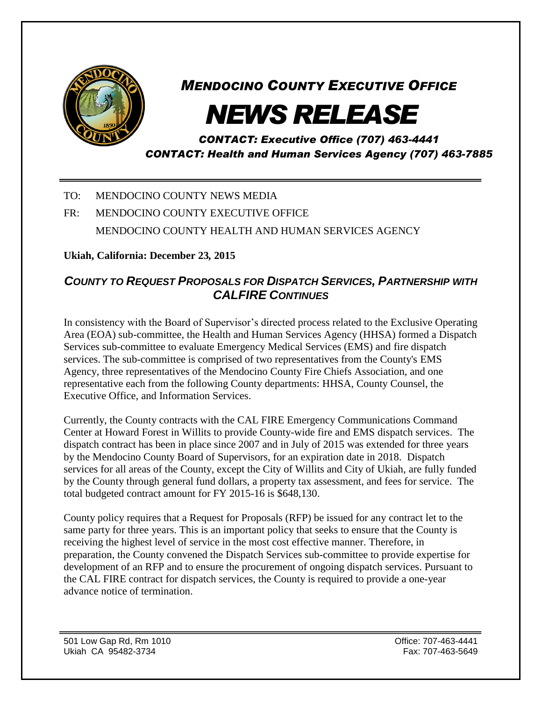

## *MENDOCINO COUNTY EXECUTIVE OFFICE*

## *NEWS RELEASE*

*CONTACT: Executive Office (707) 463-4441 CONTACT: Health and Human Services Agency (707) 463-7885*

TO: MENDOCINO COUNTY NEWS MEDIA

## FR: MENDOCINO COUNTY EXECUTIVE OFFICE MENDOCINO COUNTY HEALTH AND HUMAN SERVICES AGENCY

**Ukiah, California: December 23***,* **2015**

## *COUNTY TO REQUEST PROPOSALS FOR DISPATCH SERVICES, PARTNERSHIP WITH CALFIRE CONTINUES*

In consistency with the Board of Supervisor's directed process related to the Exclusive Operating Area (EOA) sub-committee, the Health and Human Services Agency (HHSA) formed a Dispatch Services sub-committee to evaluate Emergency Medical Services (EMS) and fire dispatch services. The sub-committee is comprised of two representatives from the County's EMS Agency, three representatives of the Mendocino County Fire Chiefs Association, and one representative each from the following County departments: HHSA, County Counsel, the Executive Office, and Information Services.

Currently, the County contracts with the CAL FIRE Emergency Communications Command Center at Howard Forest in Willits to provide County-wide fire and EMS dispatch services. The dispatch contract has been in place since 2007 and in July of 2015 was extended for three years by the Mendocino County Board of Supervisors, for an expiration date in 2018. Dispatch services for all areas of the County, except the City of Willits and City of Ukiah, are fully funded by the County through general fund dollars, a property tax assessment, and fees for service. The total budgeted contract amount for FY 2015-16 is \$648,130.

County policy requires that a Request for Proposals (RFP) be issued for any contract let to the same party for three years. This is an important policy that seeks to ensure that the County is receiving the highest level of service in the most cost effective manner. Therefore, in preparation, the County convened the Dispatch Services sub-committee to provide expertise for development of an RFP and to ensure the procurement of ongoing dispatch services. Pursuant to the CAL FIRE contract for dispatch services, the County is required to provide a one-year advance notice of termination.